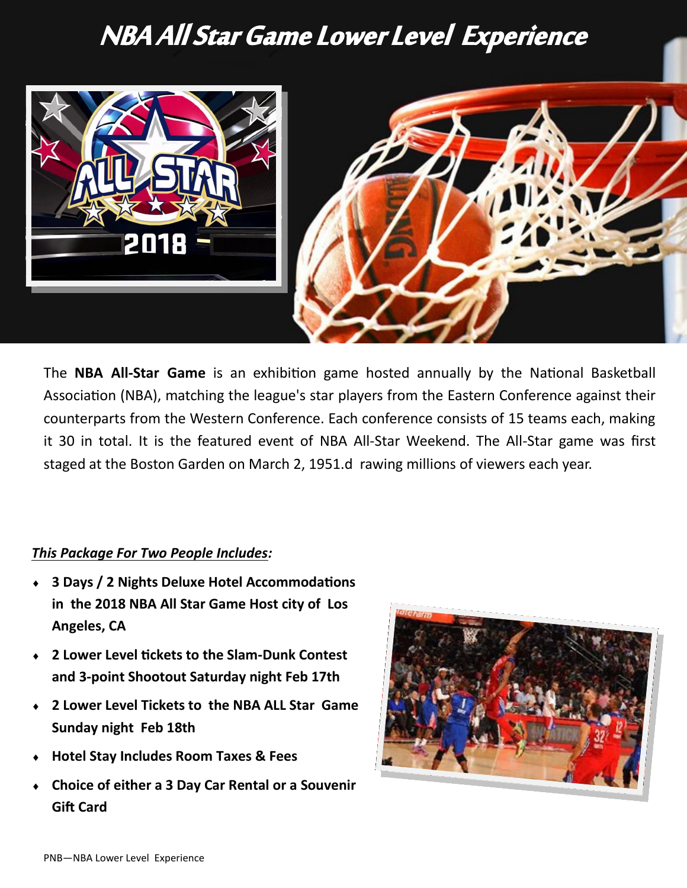## NBA All Star Game Lower Level Experience



The **NBA All-Star Game** is an exhibition game hosted annually by the [National Basketball](https://en.wikipedia.org/wiki/National_Basketball_Association)  [Association](https://en.wikipedia.org/wiki/National_Basketball_Association) (NBA), matching the league's star players from the [Eastern Conference](https://en.wikipedia.org/wiki/Eastern_Conference_(NBA)) against their counterparts from the [Western Conference.](https://en.wikipedia.org/wiki/Western_Conference_(NBA)) Each conference consists of 15 teams each, making it 30 in total. It is the featured event of NBA All-[Star Weekend.](https://en.wikipedia.org/wiki/NBA_All-Star_Weekend) The All-Star game was first staged at the [Boston Garden](https://en.wikipedia.org/wiki/Boston_Garden) on March 2, 1951.d rawing millions of viewers each year.

## *This Package For Two People Includes:*

- **3 Days / 2 Nights Deluxe Hotel Accommodations in the 2018 NBA All Star Game Host city of Los Angeles, CA**
- **2 Lower Level tickets to the Slam-Dunk Contest and 3-point Shootout Saturday night Feb 17th**
- **2 Lower Level Tickets to the NBA ALL Star Game Sunday night Feb 18th**
- **Hotel Stay Includes Room Taxes & Fees**
- **Choice of either a 3 Day Car Rental or a Souvenir Gift Card**